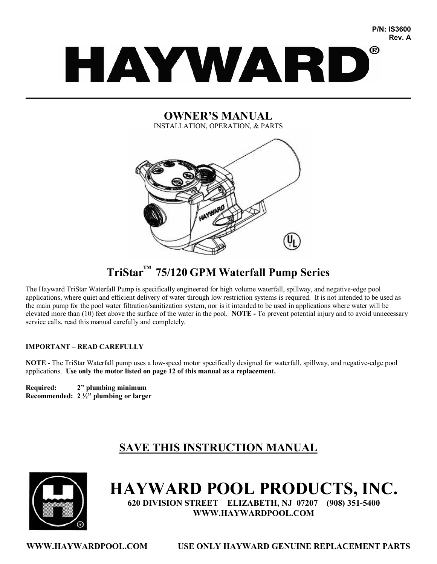# ® HAYWARD  $\mathcal{L}_\mathcal{L} = \mathcal{L}_\mathcal{L} = \mathcal{L}_\mathcal{L} = \mathcal{L}_\mathcal{L} = \mathcal{L}_\mathcal{L} = \mathcal{L}_\mathcal{L} = \mathcal{L}_\mathcal{L} = \mathcal{L}_\mathcal{L} = \mathcal{L}_\mathcal{L} = \mathcal{L}_\mathcal{L} = \mathcal{L}_\mathcal{L} = \mathcal{L}_\mathcal{L} = \mathcal{L}_\mathcal{L} = \mathcal{L}_\mathcal{L} = \mathcal{L}_\mathcal{L} = \mathcal{L}_\mathcal{L} = \mathcal{L}_\mathcal{L}$

**P/N: IS3600 Rev. A**

# **OWNER'S MANUAL** INSTALLATION, OPERATION, & PARTS



# **TriStar ™ 75/120 GPM Waterfall Pump Series**

The Hayward TriStar Waterfall Pump is specifically engineered for high volume waterfall, spillway, and negative-edge pool applications, where quiet and efficient delivery of water through low restriction systems is required. It is not intended to be used as the main pump for the pool water filtration/sanitization system, nor is it intended to be used in applications where water will be elevated more than (10) feet above the surface of the water in the pool. **NOTE** - To prevent potential injury and to avoid unnecessary service calls, read this manual carefully and completely.

# **IMPORTANT – READ CAREFULLY**

**NOTE** - The TriStar Waterfall pump uses a low-speed motor specifically designed for waterfall, spillway, and negative-edge pool applications. **Use only the motor listed on page 12 of this manual as a replacement.**

**Required: 2" plumbing minimum Recommended: 2 ½" plumbing or larger**

# **SAVE THIS INSTRUCTION MANUAL**



# **HAYWARD POOL PRODUCTS, INC.**

**620 DIVISION STREET ELIZABETH, NJ 07207 (908) 3515400 WWW.HAYWARDPOOL.COM**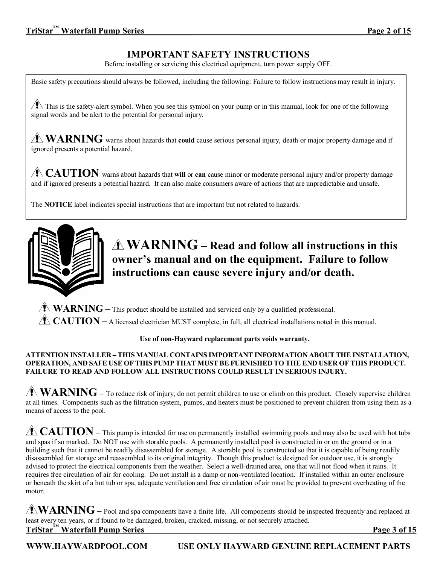# **IMPORTANT SAFETY INSTRUCTIONS**

Before installing or servicing this electrical equipment, turn power supply OFF.

Basic safety precautions should always be followed, including the following: Failure to follow instructions may result in injury.

 $\sqrt{\phantom{a}}\!\!\!\!\perp$  This is the safety-alert symbol. When you see this symbol on your pump or in this manual, look for one of the following signal words and be alert to the potential for personal injury.

**WARNING** warns about hazards that **could** cause serious personal injury, death or major property damage and if ignored presents a potential hazard.

**CAUTION** warns about hazards that **will** or **can** cause minor or moderate personal injury and/or property damage and if ignored presents a potential hazard. It can also make consumers aware of actions that are unpredictable and unsafe.

The **NOTICE** label indicates special instructions that are important but not related to hazards.



**WARNING – Read and follow all instructions in this owner's manual and on the equipment. Failure to follow instructions can cause severe injury and/or death.** 

 $\triangle$  **WARNING** – This product should be installed and serviced only by a qualified professional.

**CAUTION** – A licensed electrician MUST complete, in full, all electrical installations noted in this manual.

### **Use of nonHayward replacement parts voids warranty.**

### **ATTENTION INSTALLER –THIS MANUAL CONTAINS IMPORTANT INFORMATION ABOUT THE INSTALLATION, OPERATION, AND SAFE USE OF THIS PUMP THAT MUSTBE FURNISHED TO THE END USER OF THIS PRODUCT. FAILURE TO READ AND FOLLOW ALL INSTRUCTIONS COULD RESULT IN SERIOUS INJURY.**

**WARNING** – To reduce risk of injury, do not permit children to use or climb on this product. Closely supervise children at all times. Components such as the filtration system, pumps, and heaters must be positioned to prevent children from using them as a means of access to the pool.

**CAUTION** – This pump is intended for use on permanently installed swimming pools and may also be used with hot tubs and spas if so marked. Do NOT use with storable pools. A permanently installed pool is constructed in or on the ground or in a building such that it cannot be readily disassembled for storage. A storable pool is constructed so that it is capable of being readily disassembled for storage and reassembled to its original integrity. Though this product is designed for outdoor use, it is strongly advised to protect the electrical components from the weather. Select a well-drained area, one that will not flood when it rains. It requires free circulation of air for cooling. Do not install in a damp or non-ventilated location. If installed within an outer enclosure or beneath the skirt of a hot tub or spa, adequate ventilation and free circulation of air must be provided to prevent overheating of the motor.

**WARNING –** Pool and spa components have <sup>a</sup> finite life. All components should be inspected frequently and replaced at least every ten years, or if found to be damaged, broken, cracked, missing, or not securely attached. **TriStar ™ Waterfall Pump Series \_\_\_\_ \_\_\_\_\_ \_\_\_\_\_\_\_\_\_\_\_\_\_\_\_\_\_\_\_\_\_\_\_\_\_\_\_\_\_\_\_\_Page 3 of 15**

**WWW.HAYWARDPOOL.COM USE ONLY HAYWARD GENUINE REPLACEMENT PARTS**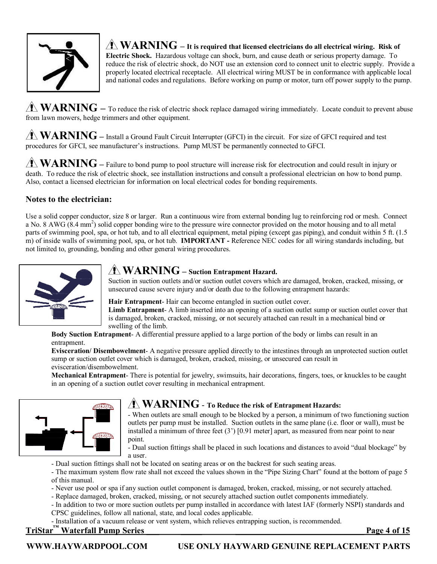

 $\hat{\mathbf{X}}$  **WARNING** – It is required that licensed electricians do all electrical wiring. Risk of **Electric Shock.** Hazardous voltage can shock, burn, and cause death or serious property damage. To reduce the risk of electric shock, do NOT use an extension cord to connect unit to electric supply. Provide a properly located electrical receptacle. All electrical wiring MUST be in conformance with applicable local and national codes and regulations. Before working on pump or motor, turn off power supply to the pump.

**WARNING** – To reduce the risk of electric shock replace damaged wiring immediately. Locate conduit to prevent abuse from lawn mowers, hedge trimmers and other equipment.

**WARNING –** Install <sup>a</sup> Ground Fault Circuit Interrupter (GFCI) in the circuit. For size of GFCI required and test procedures for GFCI, see manufacturer's instructions. Pump MUST be permanently connected to GFCI.

**WARNING** – Failure to bond pump to pool structure will increase risk for electrocution and could result in injury or death. To reduce the risk of electric shock, see installation instructions and consult a professional electrician on how to bond pump. Also, contact a licensed electrician for information on local electrical codes for bonding requirements.

# **Notes to the electrician:**

Use a solid copper conductor, size 8 or larger. Run a continuous wire from external bonding lug to reinforcing rod or mesh. Connect a No. 8 AWG  $(8.4 \text{ mm}^2)$  solid copper bonding wire to the pressure wire connector provided on the motor housing and to all metal parts of swimming pool, spa, or hot tub, and to all electrical equipment, metal piping (except gas piping), and conduit within 5 ft. (1.5) m) of inside walls of swimming pool, spa, or hot tub. **IMPORTANT** - Reference NEC codes for all wiring standards including, but not limited to, grounding, bonding and other general wiring procedures.



# **WARNING – Suction Entrapment Hazard.**

Suction in suction outlets and/or suction outlet covers which are damaged, broken, cracked, missing, or unsecured cause severe injury and/or death due to the following entrapment hazards:

Hair **Entrapment**-Hair can become entangled in suction outlet cover.

**Limb Entrapment** A limb inserted into an opening of a suction outlet sump or suction outlet cover that is damaged, broken, cracked, missing, or not securely attached can result in a mechanical bind or swelling of the limb.

**Body Suction Entrapment** A differential pressure applied to a large portion of the body or limbs can result in an entrapment.

**Evisceration/ Disembowelment** A negative pressure applied directly to the intestines through an unprotected suction outlet sump or suction outlet cover which is damaged, broken, cracked, missing, or unsecured can result in evisceration/disembowelment.

**Mechanical Entrapment** There is potential for jewelry, swimsuits, hair decorations, fingers, toes, or knuckles to be caught in an opening of a suction outlet cover resulting in mechanical entrapment.



# **WARNING To Reduce the risk of Entrapment Hazards:**

 When outlets are small enough to be blocked by a person, a minimum of two functioning suction outlets per pump must be installed. Suction outlets in the same plane (i.e. floor or wall), must be installed a minimum of three feet (3') [0.91 meter] apart, as measured from near point to near point.

 Dual suction fittings shall be placed in such locations and distances to avoid "dual blockage" by a user.

- Dual suction fittings shall not be located on seating areas or on the backrest for such seating areas.
- The maximum system flow rate shall not exceed the values shown in the "Pipe Sizing Chart" found at the bottom of page 5 of this manual.
- Never use pool or spa if any suction outlet component is damaged, broken, cracked, missing, or not securely attached.
- Replace damaged, broken, cracked, missing, or not securely attached suction outlet components immediately.
- In addition to two or more suction outlets per pump installed in accordance with latest IAF (formerly NSPI) standards and CPSC guidelines, follow all national, state, and local codes applicable.
- Installation of a vacuum release or vent system, which relieves entrapping suction, is recommended.

# **TriStar ™ Waterfall Pump Series \_\_\_ \_\_\_\_\_ \_\_\_\_\_\_\_\_\_\_\_\_\_\_\_\_\_\_\_\_\_\_\_\_\_\_\_\_\_\_ Page 4 of 15**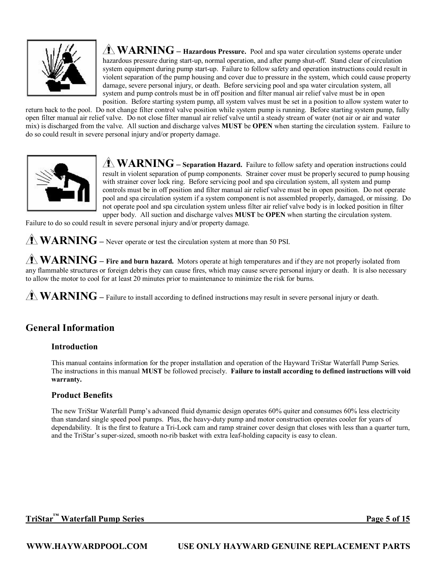

**WARNING – Hazardous Pressure.** Pool and spa water circulation systems operate under hazardous pressure during start-up, normal operation, and after pump shut-off. Stand clear of circulation system equipment during pump start-up. Failure to follow safety and operation instructions could result in violent separation of the pump housing and cover due to pressure in the system, which could cause property damage, severe personal injury, or death. Before servicing pool and spa water circulation system, all system and pump controls must be in off position and filter manual air relief valve must be in open position. Before starting system pump, all system valves must be set in a position to allow system water to

return back to the pool. Do not change filter control valve position while system pump is running. Before starting system pump, fully open filter manual air relief valve. Do not close filter manual air relief valve until a steady stream of water (not air or air and water mix) is discharged from the valve. All suction and discharge valves **MUST** be **OPEN** when starting the circulation system. Failure to do so could result in severe personal injury and/or property damage.



**WARNING** – **Separation Hazard.** Failure to follow safety and operation instructions could result in violent separation of pump components. Strainer cover must be properly secured to pump housing with strainer cover lock ring. Before servicing pool and spa circulation system, all system and pump controls must be in off position and filter manual air relief valve must be in open position. Do not operate pool and spa circulation system if a system component is not assembled properly, damaged, or missing. Do not operate pool and spa circulation system unless filter air relief valve body is in locked position in filter upper body. All suction and discharge valves **MUST** be **OPEN** when starting the circulation system.

Failure to do so could result in severe personal injury and/or property damage.

**WARNING** – Never operate or test the circulation system at more than 50 PSI.

**WARNING – Fire and burn hazard.** Motors operate at high temperatures and if they are not properly isolated from any flammable structures or foreign debris they can cause fires, which may cause severe personal injury or death. It is also necessary to allow the motor to cool for at least 20 minutes prior to maintenance to minimize the risk for burns.

**WARNING** – Failure to install according to defined instructions may result in severe personal injury or death.

# **General Information**

# **Introduction**

This manual contains information for the proper installation and operation of the Hayward TriStar Waterfall Pump Series. The instructions in this manual **MUST** be followed precisely. **Failure to install according to defined instructions will void warranty.**

# **Product Benefits**

The new TriStar Waterfall Pump's advanced fluid dynamic design operates 60% quiter and consumes 60% less electricity than standard single speed pool pumps. Plus, the heavy-duty pump and motor construction operates cooler for years of dependability. It is the first to feature a Tri-Lock cam and ramp strainer cover design that closes with less than a quarter turn, and the TriStar's super-sized, smooth no-rib basket with extra leaf-holding capacity is easy to clean.

# **TriStar ™ Waterfall Pump Series\_\_\_\_\_\_\_\_\_ \_\_ \_\_\_\_\_\_\_\_\_\_\_\_\_\_\_\_\_\_\_\_\_\_\_\_\_\_\_\_\_\_ Page 5 of 15**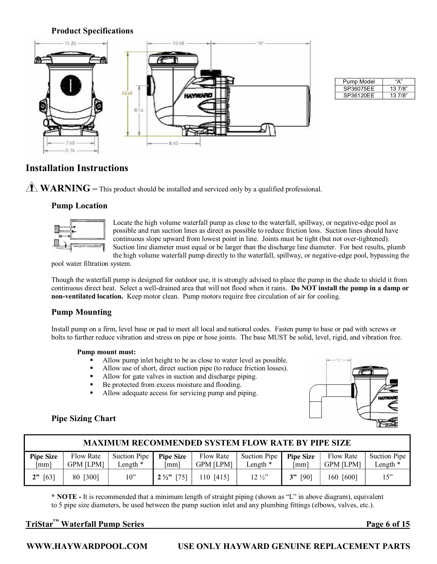# **Product Specifications**



| Pump Model | "Δ"     |
|------------|---------|
| SP36075EE  | 13 7/8" |
| SP36120EE  | 137/8"  |

# **Installation Instructions**

**WARNING** – This product should be installed and serviced only by a qualified professional.

# **Pump Location**



Locate the high volume waterfall pump as close to the waterfall, spillway, or negative-edge pool as possible and run suction lines as direct as possible to reduce friction loss. Suction lines should have continuous slope upward from lowest point in line. Joints must be tight (but not over-tightened). Suction line diameter must equal or be larger than the discharge line diameter. For best results, plumb the high volume waterfall pump directly to the waterfall, spillway, or negative-edge pool, bypassing the

pool water filtration system.

Though the waterfall pump is designed for outdoor use, it is strongly advised to place the pump in the shade to shield it from continuous direct heat. Select a well-drained area that will not flood when it rains. **Do NOT install the pump in a damp or non-ventilated location.** Keep motor clean. Pump motors require free circulation of air for cooling.

# **Pump Mounting**

Install pump on a firm, level base or pad to meet all local and national codes. Fasten pump to base or pad with screws or bolts to further reduce vibration and stress on pipe or hose joints. The base MUST be solid, level, rigid, and vibration free.

### **Pump mount must:**

- ß Allow pump inlet height to be as close to water level as possible.
- Allow use of short, direct suction pipe (to reduce friction losses).<br>
Allow for gate valves in suction and discharge piping
- ß Allow for gate valves in suction and discharge piping.
- Be protected from excess moisture and flooding.
- ß Allow adequate access for servicing pump and piping.



# **Pipe Sizing Chart**

| <b>MAXIMUM RECOMMENDED SYSTEM FLOW RATE BY PIPE SIZE</b> |                               |                          |                          |                               |                          |                         |                                      |                         |
|----------------------------------------------------------|-------------------------------|--------------------------|--------------------------|-------------------------------|--------------------------|-------------------------|--------------------------------------|-------------------------|
| <b>Pipe Size</b><br>$\lceil$ mm $\rceil$                 | Flow Rate<br><b>GPM [LPM]</b> | Suction Pipe<br>Length * | <b>Pipe Size</b><br>[mm] | Flow Rate<br><b>GPM [LPM]</b> | Suction Pipe<br>Length * | <b>Pipe Size</b><br> mm | <b>Flow Rate</b><br><b>GPM [LPM]</b> | Suction Pipe<br>ength * |
| $2"$ [63]                                                | 80 [300]                      | 10"                      | $2\frac{1}{2}$ [75]      | 110 [415]                     | $12\frac{1}{2}$          | [90]<br>3"              | 160 [600]                            | 15"                     |

**\* NOTE**  It is recommended that a minimum length of straight piping (shown as "L" in above diagram), equivalent to 5 pipe size diameters, be used between the pump suction inlet and any plumbing fittings (elbows, valves, etc.).

# **TriStar ™ Waterfall Pump Series \_ \_\_\_\_\_ \_\_\_\_\_\_\_\_\_\_\_\_\_\_\_\_\_\_\_\_\_\_\_\_\_\_\_\_\_\_\_ Page 6 of 15**

**WWW.HAYWARDPOOL.COM USE ONLY HAYWARD GENUINE REPLACEMENT PARTS**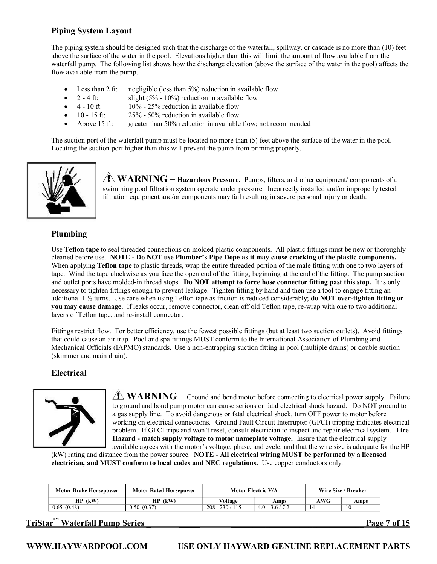# **Piping System Layout**

The piping system should be designed such that the discharge of the waterfall, spillway, or cascade is no more than (10) feet above the surface of the water in the pool. Elevations higher than this will limit the amount of flow available from the waterfall pump. The following list shows how the discharge elevation (above the surface of the water in the pool) affects the flow available from the pump.

- Less than 2 ft: negligible (less than  $5\%$ ) reduction in available flow
- $2 4$  ft: slight (5% 10%) reduction in available flow
- $4 10$  ft:  $10\% 25\%$  reduction in available flow
- 10 15 ft:  $25\%$  50% reduction in available flow<br>Above 15 ft: greater than 50% reduction in available
- greater than 50% reduction in available flow; not recommended

The suction port of the waterfall pump must be located no more than (5) feet above the surface of the water in the pool. Locating the suction port higher than this will prevent the pump from priming properly.



**WARNING – Hazardous Pressure.** Pumps, filters, and other equipment/ components of a swimming pool filtration system operate under pressure. Incorrectly installed and/or improperly tested filtration equipment and/or components may fail resulting in severe personal injury or death.

# **Plumbing**

Use **Teflon tape** to seal threaded connections on molded plastic components. All plastic fittings must be new or thoroughly cleaned before use. **NOTE Do NOT use Plumber's Pipe Dope as it may cause cracking of the plastic components.** When applying **Teflon tape** to plastic threads, wrap the entire threaded portion of the male fitting with one to two layers of tape. Wind the tape clockwise as you face the open end of the fitting, beginning at the end of the fitting. The pump suction and outlet ports have moldedin thread stops. **Do NOT attempt to force hose connector fitting past this stop.** It is only necessary to tighten fittings enough to prevent leakage. Tighten fitting by hand and then use a tool to engage fitting an additional 1 ½ turns. Use care when using Teflon tape as friction is reduced considerably; **do NOT overtighten fitting or you may cause damage**. If leaks occur, remove connector, clean off old Teflon tape, rewrap with one to two additional layers of Teflon tape, and re-install connector.

Fittings restrict flow. For better efficiency, use the fewest possible fittings (but at least two suction outlets). Avoid fittings that could cause an air trap. Pool and spa fittings MUST conform to the International Association of Plumbing and Mechanical Officials (IAPMO) standards. Use a nonentrapping suction fitting in pool (multiple drains) or double suction (skimmer and main drain).

# **Electrical**



**WARNING** – Ground and bond motor before connecting to electrical power supply. Failure to ground and bond pump motor can cause serious or fatal electrical shock hazard. Do NOT ground to a gas supply line. To avoid dangerous or fatal electrical shock, turn OFF power to motor before working on electrical connections. Ground Fault Circuit Interrupter (GFCI) tripping indicates electrical problem. If GFCI trips and won't reset, consult electrician to inspect and repair electrical system. **Fire Hazard match supply voltage to motor nameplate voltage.** Insure that the electrical supply available agrees with the motor's voltage, phase, and cycle, and that the wire size is adequate for the HP

(kW) rating and distance from the power source. **NOTE All electrical wiring MUST be performed by a licensed electrician, and MUST conform tolocal codes and NEC regulations.** Use copper conductors only.

| <b>Motor Brake Horsepower</b> | <b>Motor Rated Horsepower</b> | Motor Electric V/A |                   | Wire Size / Breaker |      |
|-------------------------------|-------------------------------|--------------------|-------------------|---------------------|------|
| $HP$ (kW)                     | HP (kW)                       | Voltage            | Amps              | AWG                 | Amps |
| 0.65(0.48)                    | 0.50(0.37)                    | $208 - 230 / 115$  | $4.0 - 3.6 / 7.2$ |                     | 10   |

# **TriStar ™ Waterfall Pump Series \_ \_\_\_\_\_ \_\_\_\_\_\_\_\_\_\_\_\_\_\_\_\_\_\_\_\_\_\_\_\_\_\_\_\_\_\_\_ Page 7 of 15**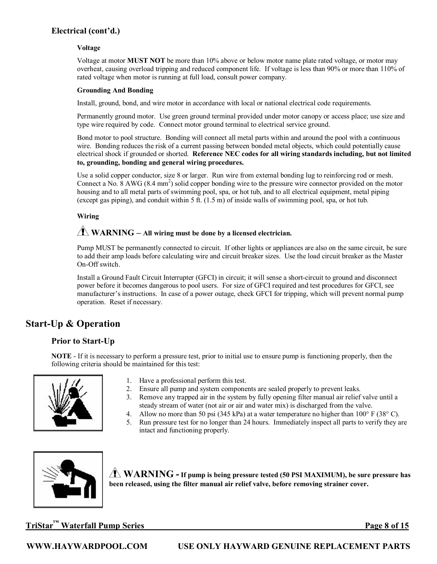# **Electrical (cont'd.)**

### **Voltage**

Voltage at motor **MUST NOT** be more than 10% above or below motor name plate rated voltage, or motor may overheat, causing overload tripping and reduced component life. If voltage is less than 90% or more than 110% of rated voltage when motor is running at full load, consult power company.

### **Grounding And Bonding**

Install, ground, bond, and wire motor in accordance with local or national electrical code requirements.

Permanently ground motor. Use green ground terminal provided under motor canopy or access place; use size and type wire required by code. Connect motor ground terminal to electrical service ground.

Bond motor to pool structure. Bonding will connect all metal parts within and around the pool with a continuous wire. Bonding reduces the risk of a current passing between bonded metal objects, which could potentially cause electrical shock if grounded or shorted. **Reference NEC codes for all wiring standards including, but not limited to, grounding, bonding and general wiring procedures.**

Use a solid copper conductor, size 8 or larger. Run wire from external bonding lug to reinforcing rod or mesh. Connect a No. 8 AWG (8.4 mm <sup>2</sup>) solid copper bonding wire to the pressure wire connector provided on the motor housing and to all metal parts of swimming pool, spa, or hot tub, and to all electrical equipment, metal piping (except gas piping), and conduit within 5 ft. (1.5 m) of inside walls of swimming pool, spa, or hot tub.

### **Wiring**

# **WARNING – All wiring must be done by a licensed electrician.**

Pump MUST be permanently connected to circuit. If other lights or appliances are also on the same circuit, be sure to add their amp loads before calculating wire and circuit breaker sizes. Use the load circuit breaker as the Master On-Off switch.

Install a Ground Fault Circuit Interrupter (GFCI) in circuit; it will sense a short-circuit to ground and disconnect power before it becomes dangerous to pool users. For size of GFCI required and test procedures for GFCI, see manufacturer's instructions. In case of a power outage, check GFCI for tripping, which will prevent normal pump operation. Reset if necessary.

# **Start-Up & Operation**

# **Prior** to Start-Up

**NOTE** - If it is necessary to perform a pressure test, prior to initial use to ensure pump is functioning properly, then the following criteria should be maintained for this test:



- 1. Have a professional perform this test.
- 2. Ensure all pump and system components are sealed properly to prevent leaks.
- 3. Remove any trapped air in the system by fully opening filter manual air relief valve until a steady stream of water (not air or air and water mix) is discharged from the valve.
- 4. Allow no more than 50 psi (345 kPa) at a water temperature no higher than  $100^{\circ}$  F (38 $^{\circ}$  C).<br>5. Run pressure test for no longer than 24 hours. Immediately inspect all parts to verify they a
- 5. Run pressure test for no longer than 24 hours. Immediately inspect all parts to verify they are intact and functioning properly.



**WARNING If pump is being pressure tested (50 PSI MAXIMUM), be sure pressure has been released, using the filter manual air relief valve, before removing strainer cover.**

**TriStar ™ Waterfall Pump Series \_\_\_\_\_ \_\_\_\_ \_\_\_\_\_\_\_\_\_\_\_\_\_\_\_\_\_\_\_\_\_\_\_\_\_\_\_\_\_\_Page 8 of 15**

**WWW.HAYWARDPOOL.COM USE ONLY HAYWARD GENUINE REPLACEMENT PARTS**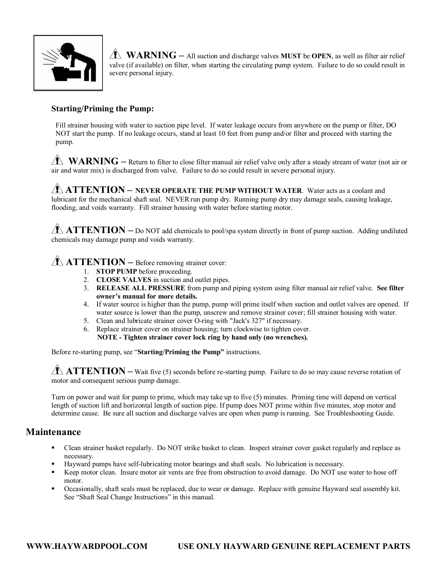

**WARNING** – All suction and discharge valves **MUST** be **OPEN**, as well as filter air relief valve (if available) on filter, when starting the circulating pump system. Failure to do so could result in severe personal injury.

# **Starting/Priming the Pump:**

Fill strainer housing with water to suction pipe level. If water leakage occurs from anywhere on the pump or filter, DO NOT start the pump. If no leakage occurs, stand at least 10 feet from pump and/or filter and proceed with starting the pump.

**WARNING** – Return to filter to close filter manual air relief valve only after a steady stream of water (not air or air and water mix) is discharged from valve. Failure to do so could result in severe personal injury.

**ATTENTION – NEVER OPERATE THE PUMP WITHOUT WATER**. Water acts as a coolant and lubricant for the mechanical shaft seal. NEVER run pump dry. Running pump dry may damage seals, causing leakage, flooding, and voids warranty. Fill strainer housing with water before starting motor.

**ATTENTION** – Do NOT add chemicals to pool/spa system directly in front of pump suction. Adding undiluted chemicals may damage pump and voids warranty.

# **ATTENTION** – Before removing strainer cover:

- 1. **STOP PUMP** before proceeding.
- 2. **CLOSE VALVES** in suction and outlet pipes.
- 3. **RELEASE ALL PRESSURE** from pump and piping system using filter manual air relief valve. **See filter owner's manual for more details.**
- 4. If water source is higher than the pump, pump will prime itself when suction and outlet valves are opened. If water source is lower than the pump, unscrew and remove strainer cover; fill strainer housing with water.
- 5. Clean and lubricate strainer cover O-ring with "Jack's 327" if necessary.
- 6. Replace strainer cover on strainer housing; turn clockwise to tighten cover. **NOTE Tighten strainer cover lock ring by hand only (no wrenches).**

Before restarting pump, see "**Starting/Priming the Pump"** instructions.

 $\sqrt{1}$  **ATTENTION** – Wait five (5) seconds before re-starting pump. Failure to do so may cause reverse rotation of motor and consequent serious pump damage.

Turn on power and wait for pump to prime, which may take up to five (5) minutes. Priming time will depend on vertical length of suction lift and horizontal length of suction pipe. If pump does NOT prime within five minutes, stop motor and determine cause. Be sure all suction and discharge valves are open when pump is running. See Troubleshooting Guide.

# **Maintenance**

- ß Clean strainer basket regularly. Do NOT strike basket to clean. Inspect strainer cover gasket regularly and replace as necessary.
- Hayward pumps have self-lubricating motor bearings and shaft seals. No lubrication is necessary.
- ß Keep motor clean. Insure motor air vents are free from obstruction to avoid damage. Do NOT use water to hose off motor.
- ß Occasionally, shaft seals must be replaced, due to wear or damage. Replace with genuine Hayward seal assembly kit. See "Shaft Seal Change Instructions" in this manual.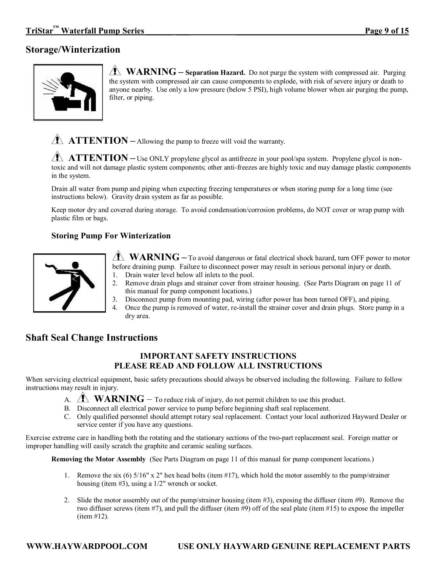# **Storage/Winterization**



**WARNING** – **Separation Hazard.** Do not purge the system with compressed air. Purging the system with compressed air can cause components to explode, with risk of severe injury or death to anyone nearby. Use only a low pressure (below 5 PSI), high volume blower when air purging the pump, filter, or piping.

**ATTENTION** – Allowing the pump to freeze will void the warranty.

**ATTENTION** – Use ONLY propylene glycol as antifreeze in your pool/spa system. Propylene glycol is nontoxic and will not damage plastic system components; other anti-freezes are highly toxic and may damage plastic components in the system.

Drain all water from pump and piping when expecting freezing temperatures or when storing pump for a long time (see instructions below). Gravity drain system as far as possible.

Keep motor dry and covered during storage. To avoid condensation/corrosion problems, do NOT cover or wrap pump with plastic film or bags.

# **Storing Pump For Winterization**



**WARNING** – To avoid dangerous or fatal electrical shock hazard, turn OFF power to motor before draining pump. Failure to disconnect power may result in serious personal injury or death. 1. Drain water level below all inlets to the pool.

- 2. Remove drain plugs and strainer cover from strainer housing. (See Parts Diagram on page 11 of this manual for pump component locations.)
- 3. Disconnect pump from mounting pad, wiring (after power has been turned OFF), and piping.
- 4. Once the pump is removed of water, re-install the strainer cover and drain plugs. Store pump in a dry area.

# **Shaft Seal Change Instructions**

# **IMPORTANT SAFETY INSTRUCTIONS PLEASE READ AND FOLLOW ALL INSTRUCTIONS**

When servicing electrical equipment, basic safety precautions should always be observed including the following. Failure to follow instructions may result in injury.

- A.  $\Lambda$  **WARNING** To reduce risk of injury, do not permit children to use this product.
- B. Disconnect all electrical power service to pump before beginning shaft seal replacement.
- C. Only qualified personnel should attempt rotary seal replacement. Contact your local authorized Hayward Dealer or service center if you have any questions.

Exercise extreme care in handling both the rotating and the stationary sections of the two-part replacement seal. Foreign matter or improper handling will easily scratch the graphite and ceramic sealing surfaces.

**Removing the Motor Assembly** (See Parts Diagram on page 11 of this manual for pump component locations.)

- 1. Remove the six (6) 5/16" x 2" hex head bolts (item #17), which hold the motor assembly to the pump/strainer housing (item #3), using a 1/2" wrench or socket.
- 2. Slide the motor assembly out of the pump/strainer housing (item #3), exposing the diffuser (item #9). Remove the two diffuser screws (item #7), and pull the diffuser (item #9) off of the seal plate (item #15) to expose the impeller (item #12).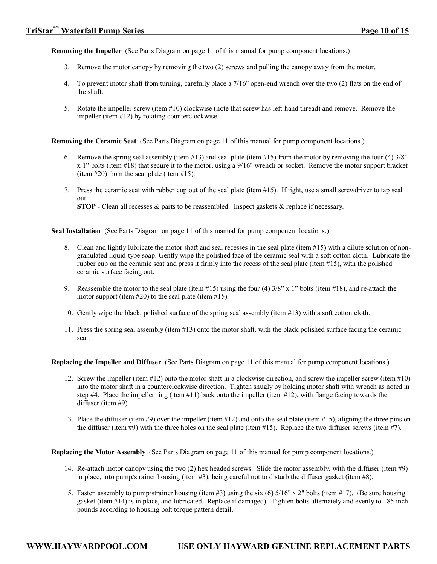**Removing the Impeller** (See Parts Diagram on page 11 of this manual for pump component locations.)

- 3. Remove the motor canopy by removing the two (2) screws and pulling the canopy away from the motor.
- 4. To prevent motor shaft from turning, carefully place a 7/16" openend wrench over the two (2) flats on the end of the shaft.
- 5. Rotate the impeller screw (item #10) clockwise (note that screw has left-hand thread) and remove. Remove the impeller (item #12) by rotating counterclockwise.

**Removing the Ceramic Seat** (See Parts Diagram on page 11 of this manual for pump component locations.)

- 6. Remove the spring seal assembly (item #13) and seal plate (item #15) from the motor by removing the four (4)  $3/8$ " x 1" bolts (item #18) that secure it to the motor, using a 9/16" wrench or socket. Remove the motor support bracket (item #20) from the seal plate (item #15).
- 7. Press the ceramic seat with rubber cup out of the seal plate (item #15). If tight, use a small screwdriver to tap seal out.

**STOP** - Clean all recesses  $\&$  parts to be reassembled. Inspect gaskets  $\&$  replace if necessary.

**Seal Installation** (See Parts Diagram on page 11 of this manual for pump component locations.)

- 8. Clean and lightly lubricate the motor shaft and seal recesses in the seal plate (item #15) with a dilute solution of non granulated liquid-type soap. Gently wipe the polished face of the ceramic seal with a soft cotton cloth. Lubricate the rubber cup on the ceramic seat and press it firmly into the recess of the seal plate (item #15), with the polished ceramic surface facing out.
- 9. Reassemble the motor to the seal plate (item  $\#15$ ) using the four (4)  $3/8$ " x 1" bolts (item  $\#18$ ), and re-attach the motor support (item  $#20$ ) to the seal plate (item  $#15$ ).
- 10. Gently wipe the black, polished surface of the spring seal assembly (item #13) with a soft cotton cloth.
- 11. Press the spring seal assembly (item #13) onto the motor shaft, with the black polished surface facing the ceramic seat.

**Replacing the Impeller and Diffuser** (See Parts Diagram on page 11 of this manual for pump component locations.)

- 12. Screw the impeller (item #12) onto the motor shaft in a clockwise direction, and screw the impeller screw (item #10) into the motor shaft in a counterclockwise direction. Tighten snugly by holding motor shaft with wrench as noted in step #4. Place the impeller ring (item  $#11$ ) back onto the impeller (item  $#12$ ), with flange facing towards the diffuser (item #9).
- 13. Place the diffuser (item #9) over the impeller (item #12) and onto the seal plate (item #15), aligning the three pins on the diffuser (item #9) with the three holes on the seal plate (item #15). Replace the two diffuser screws (item #7).

**Replacing the Motor Assembly** (See Parts Diagram on page 11 of this manual for pump component locations.)

- 14. Re-attach motor canopy using the two (2) hex headed screws. Slide the motor assembly, with the diffuser (item #9) in place, into pump/strainer housing (item #3), being careful not to disturb the diffuser gasket (item #8).
- 15. Fasten assembly to pump/strainer housing (item #3) using the six (6) 5/16" x 2" bolts (item #17). (Be sure housing gasket (item #14) is in place, and lubricated. Replace if damaged). Tighten bolts alternately and evenly to 185 inch pounds according to housing bolt torque pattern detail.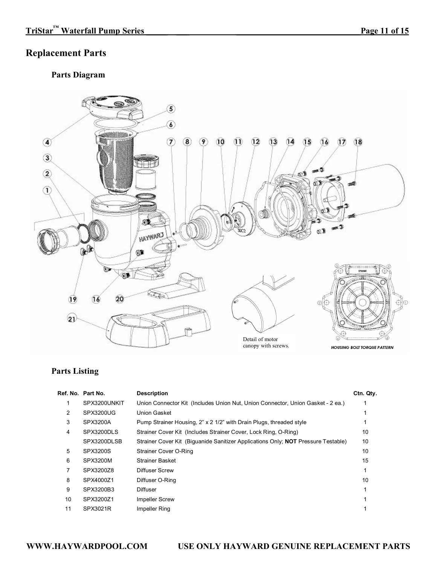# **Replacement Parts**

# **Parts Diagram**



# **Parts Listing**

|    | Ref. No. Part No. | <b>Description</b>                                                                       | Ctn. Qty. |
|----|-------------------|------------------------------------------------------------------------------------------|-----------|
|    | SPX3200UNKIT      | Union Connector Kit (Includes Union Nut, Union Connector, Union Gasket - 2 ea.)          |           |
| 2  | SPX3200UG         | Union Gasket                                                                             |           |
| 3  | SPX3200A          | Pump Strainer Housing, 2" x 2 1/2" with Drain Plugs, threaded style                      |           |
| 4  | SPX3200DLS        | Strainer Cover Kit (Includes Strainer Cover, Lock Ring, O-Ring)                          | 10        |
|    | SPX3200DLSB       | Strainer Cover Kit (Biguanide Sanitizer Applications Only: <b>NOT</b> Pressure Testable) | 10        |
| 5  | SPX3200S          | Strainer Cover O-Ring                                                                    | 10        |
| 6  | SPX3200M          | Strainer Basket                                                                          | 15        |
| 7  | SPX3200Z8         | Diffuser Screw                                                                           |           |
| 8  | SPX4000Z1         | Diffuser O-Ring                                                                          | 10        |
| 9  | SPX3200B3         | <b>Diffuser</b>                                                                          |           |
| 10 | SPX3200Z1         | <b>Impeller Screw</b>                                                                    |           |
| 11 | SPX3021R          | Impeller Ring                                                                            |           |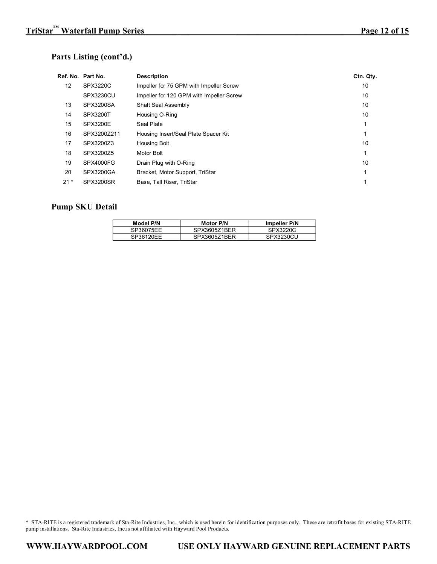# **Parts Listing (cont'd.)**

|                 | Ref. No. Part No. | <b>Description</b>                       | Ctn. Qty. |
|-----------------|-------------------|------------------------------------------|-----------|
| 12 <sup>2</sup> | SPX3220C          | Impeller for 75 GPM with Impeller Screw  | 10        |
|                 | SPX3230CU         | Impeller for 120 GPM with Impeller Screw | 10        |
| 13              | SPX3200SA         | <b>Shaft Seal Assembly</b>               | 10        |
| 14              | <b>SPX3200T</b>   | Housing O-Ring                           | 10        |
| 15              | SPX3200E          | Seal Plate                               |           |
| 16              | SPX3200Z211       | Housing Insert/Seal Plate Spacer Kit     |           |
| 17              | SPX3200Z3         | <b>Housing Bolt</b>                      | 10        |
| 18              | SPX3200Z5         | Motor Bolt                               |           |
| 19              | SPX4000FG         | Drain Plug with O-Ring                   | 10        |
| 20              | SPX3200GA         | Bracket, Motor Support, TriStar          |           |
| $21*$           | SPX3200SR         | Base, Tall Riser, TriStar                |           |

# **Pump SKU Detail**

| Model P/N | <b>Motor P/N</b> | Impeller P/N |
|-----------|------------------|--------------|
| SP36075EE | SPX3605Z1BER     | SPX3220C     |
| SP36120FF | SPX3605Z1BER     | SPX3230CU    |

\* STA-RITE is a registered trademark of Sta-Rite Industries, Inc., which is used herein for identification purposes only. These are retrofit bases for existing STA-RITE pump installations. Sta-Rite Industries, Inc.is not affiliated with Hayward Pool Products.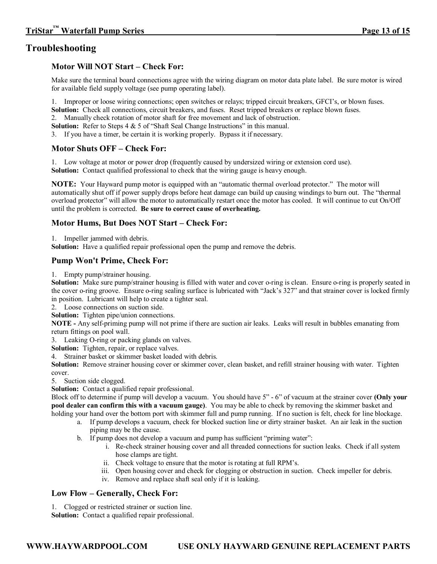# **Motor Will NOT Start – Check For:**

Make sure the terminal board connections agree with the wiring diagram on motor data plate label. Be sure motor is wired for available field supply voltage (see pump operating label).

1. Improper or loose wiring connections; open switches or relays; tripped circuit breakers, GFCI's, or blown fuses.

**Solution:** Check all connections, circuit breakers, and fuses. Reset tripped breakers or replace blown fuses. 2. Manually check rotation of motor shaft for free movement and lack of obstruction.

**Solution:** Refer to Steps 4 & 5 of "Shaft Seal Change Instructions" in this manual.

3. If you have a timer, be certain it is working properly. Bypass it if necessary.

# **Motor Shuts OFF – Check For:**

1. Low voltage at motor or power drop (frequently caused by undersized wiring or extension cord use). **Solution:** Contact qualified professional to check that the wiring gauge is heavy enough.

**NOTE:** Your Hayward pump motor is equipped with an "automatic thermal overload protector." The motor will automatically shut off if power supply drops before heat damage can build up causing windings to burn out. The "thermal overload protector" will allow the motor to automatically restart once the motor has cooled. It will continue to cut On/Off until the problem is corrected. **Be sure to correct cause of overheating.**

# **Motor Hums, But Does NOT Start – Check For:**

1. Impeller jammed with debris.

**Solution:** Have a qualified repair professional open the pump and remove the debris.

# **Pump Won't Prime, Check For:**

1. Empty pump/strainer housing.

Solution: Make sure pump/strainer housing is filled with water and cover o-ring is clean. Ensure o-ring is properly seated in the cover oring groove. Ensure oring sealing surface is lubricated with "Jack's 327" and that strainer cover is locked firmly in position. Lubricant will help to create a tighter seal.

2. Loose connections on suction side.

**Solution:** Tighten pipe/union connections.

**NOTE** - Any self-priming pump will not prime if there are suction air leaks. Leaks will result in bubbles emanating from return fittings on pool wall.

3. Leaking O-ring or packing glands on valves.

**Solution:** Tighten, repair, or replace valves.

4. Strainer basket or skimmer basket loaded with debris.

**Solution:** Remove strainer housing cover or skimmer cover, clean basket, and refill strainer housing with water. Tighten cover.

5. Suction side clogged.

**Solution:** Contact a qualified repair professional.

Block off to determine if pump will develop a vacuum. You should have 5" 6" of vacuum at the strainer cover **(Only your pool dealer can confirm this with a vacuum gauge)**. You may be able to check by removing the skimmer basket and holding your hand over the bottom port with skimmer full and pump running. If no suction is felt, check for line blockage.

- a. If pump develops a vacuum, check for blocked suction line or dirty strainer basket. An air leak in the suction piping may be the cause.
- b. If pump does not develop a vacuum and pump has sufficient "priming water":
	- i. Recheck strainer housing cover and all threaded connections for suction leaks. Check if all system hose clamps are tight.
	- ii. Check voltage to ensure that the motor is rotating at full RPM's.
	- iii. Open housing cover and check for clogging or obstruction in suction. Check impeller for debris.
	- iv. Remove and replace shaft seal only if it is leaking.

# **Low Flow – Generally, Check For:**

1. Clogged or restricted strainer or suction line.

**Solution:** Contact a qualified repair professional.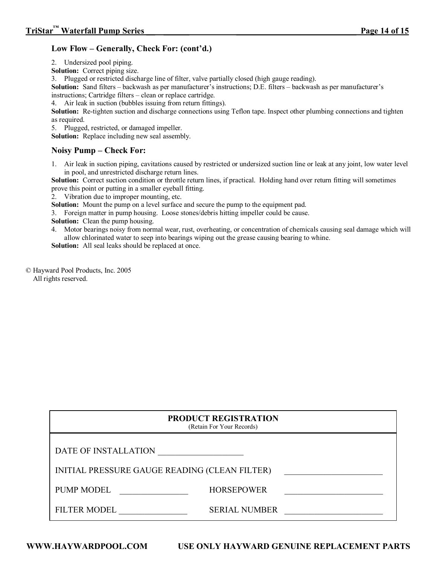# **Low Flow – Generally, Check For: (cont'd.)**

2. Undersized pool piping.

**Solution:** Correct piping size.

3. Plugged or restricted discharge line of filter, valve partially closed (high gauge reading).

**Solution:** Sand filters – backwash as per manufacturer's instructions; D.E. filters – backwash as per manufacturer's instructions; Cartridge filters – clean or replace cartridge.

4. Air leak in suction (bubbles issuing from return fittings).

**Solution:** Re-tighten suction and discharge connections using Teflon tape. Inspect other plumbing connections and tighten as required.

5. Plugged, restricted, or damaged impeller.

**Solution:** Replace including new seal assembly.

# **Noisy Pump – Check For:**

1. Air leak in suction piping, cavitations caused by restricted or undersized suction line or leak at any joint, low water level in pool, and unrestricted discharge return lines.

**Solution:** Correct suction condition or throttle return lines, if practical. Holding hand over return fitting will sometimes prove this point or putting in a smaller eyeball fitting.

2. Vibration due to improper mounting, etc.

**Solution:** Mount the pump on a level surface and secure the pump to the equipment pad.

3. Foreign matter in pump housing. Loose stones/debris hitting impeller could be cause.

**Solution:** Clean the pump housing.

4. Motor bearings noisy from normal wear, rust, overheating, or concentration of chemicals causing seal damage which will allow chlorinated water to seep into bearings wiping out the grease causing bearing to whine.

**Solution:** All seal leaks should be replaced at once.

© Hayward Pool Products, Inc. 2005 All rights reserved.

| <b>PRODUCT REGISTRATION</b><br>(Retain For Your Records) |                      |  |
|----------------------------------------------------------|----------------------|--|
| DATE OF INSTALLATION                                     |                      |  |
| INITIAL PRESSURE GAUGE READING (CLEAN FILTER)            |                      |  |
| <b>PUMP MODEL</b>                                        | <b>HORSEPOWER</b>    |  |
| <b>FILTER MODEL</b>                                      | <b>SERIAL NUMBER</b> |  |